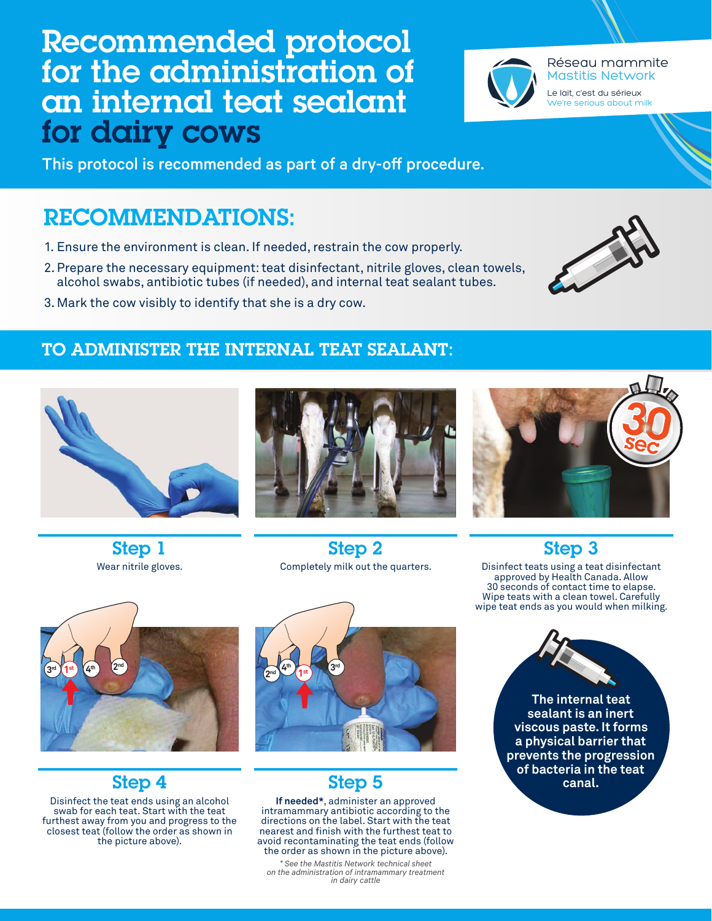

Step 2

for the administration of an internal teat sealant for dairy cows

Recommended protocol

This protocol is recommended as part of a dry-off procedure.

# RECOMMENDATIONS:

- 1. Ensure the environment is clean. If needed, restrain the cow properly.
- 2.Prepare the necessary equipment: teat disinfectant, nitrile gloves, clean towels, alcohol swabs, antibiotic tubes (if needed), and internal teat sealant tubes.
- 3.Mark the cow visibly to identify that she is a dry cow.

#### TO ADMINISTER THE INTERNAL TEAT SEALANT:

Completely milk out the quarters.

Step 5 **If needed\***, administer an approved intramammary antibiotic according to the directions on the label. Start with the teat nearest and finish with the furthest teat to avoid recontaminating the teat ends (follow the order as shown in the picture above). *\* See the Mastitis Network technical sheet on the administration of intramammary treatment in dairy cattle* 

 $\left( 3^{\text{rd}} \right) \left( 1^{\text{st}} \right) \left( 4^{\text{th}} \right)$   $\left( 2^{\text{nd}} \right)$ 

### Step 4

Disinfect the teat ends using an alcohol swab for each teat. Start with the teat furthest away from you and progress to the closest teat (follow the order as shown in the picture above).

**The internal teat sealant is an inert** 

Step 3 Disinfect teats using a teat disinfectant approved by Health Canada. Allow 30 seconds of contact time to elapse. Wipe teats with a clean towel. Carefully wipe teat ends as you would when milking.

> **viscous paste. It forms a physical barrier that prevents the progression of bacteria in the teat canal.**

2<sup>nd</sup> **4<sup>th</sup> 1**st **3**<sup>rd</sup> **1st**













Le lait, c'est du sérieux We're serious about milk